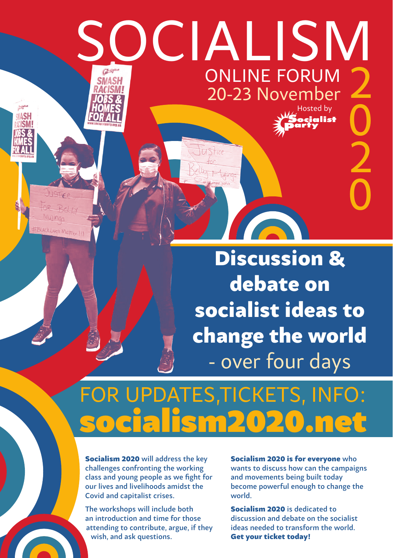## socialism 2 online forum **SMASH** 20-23 November 0 Hosted by

Discussion & debate on socialist ideas to change the world - over four days

**CONTRACTOR** 

2

cialist

0

## socialism2020.net FOR UPDATES,TICKETS, INFO:

Socialism 2020 will address the key challenges confronting the working class and young people as we fight for our lives and livelihoods amidst the Covid and capitalist crises.

The workshops will include both an introduction and time for those attending to contribute, argue, if they wish, and ask questions.

Socialism 2020 is for everyone who wants to discuss how can the campaigns and movements being built today become powerful enough to change the world.

Socialism 2020 is dedicated to discussion and debate on the socialist ideas needed to transform the world. Get your ticket today!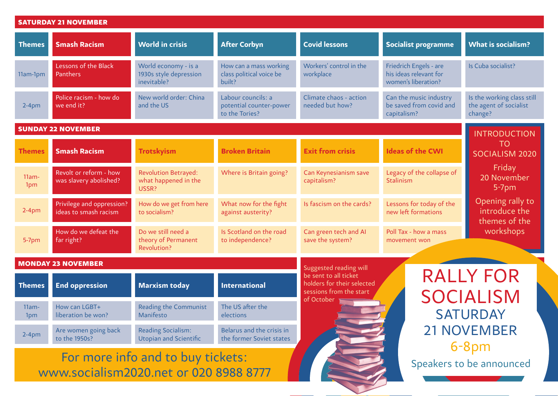| <b>SATURDAY 21 NOVEMBER</b>                                                 |                                                    |                                                               |                                                                 |                                                                                |                                                                                                       |                                                                 |  |
|-----------------------------------------------------------------------------|----------------------------------------------------|---------------------------------------------------------------|-----------------------------------------------------------------|--------------------------------------------------------------------------------|-------------------------------------------------------------------------------------------------------|-----------------------------------------------------------------|--|
| <b>Themes</b>                                                               | <b>Smash Racism</b>                                | <b>World in crisis</b>                                        | <b>After Corbyn</b>                                             | <b>Covid lessons</b>                                                           | <b>Socialist programme</b>                                                                            | <b>What is socialism?</b>                                       |  |
| 11am-1pm                                                                    | Lessons of the Black<br>Panthers                   | World economy - is a<br>1930s style depression<br>inevitable? | How can a mass working<br>class political voice be<br>built?    | Workers' control in the<br>workplace                                           | Friedrich Engels - are<br>his ideas relevant for<br>women's liberation?                               | Is Cuba socialist?                                              |  |
| $2-4$ pm                                                                    | Police racism - how do<br>we end it?               | New world order: China<br>and the US                          | Labour councils: a<br>potential counter-power<br>to the Tories? | Climate chaos - action<br>needed but how?                                      | Can the music industry<br>be saved from covid and<br>capitalism?                                      | Is the working class still<br>the agent of socialist<br>change? |  |
| <b>SUNDAY 22 NOVEMBER</b>                                                   |                                                    |                                                               |                                                                 |                                                                                |                                                                                                       | <b>INTRODUCTION</b>                                             |  |
| <b>Themes</b>                                                               | <b>Smash Racism</b>                                | <b>Trotskyism</b>                                             | <b>Broken Britain</b>                                           | <b>Exit from crisis</b>                                                        | <b>Ideas of the CWI</b>                                                                               | <b>TO</b><br>SOCIALISM 2020                                     |  |
| $11am -$<br>1pm                                                             | Revolt or reform - how<br>was slavery abolished?   | Revolution Betrayed:<br>what happened in the<br>USSR?         | Where is Britain going?                                         | Can Keynesianism save<br>capitalism?                                           | Legacy of the collapse of<br>Stalinism                                                                | Friday<br>20 November<br>$5-7$ pm                               |  |
| $2-4pm$                                                                     | Privilege and oppression?<br>ideas to smash racism | How do we get from here<br>to socialism?                      | What now for the fight<br>against austerity?                    | Is fascism on the cards?                                                       | Opening rally to<br>Lessons for today of the<br>introduce the<br>new left formations<br>themes of the |                                                                 |  |
| 5-7pm                                                                       | How do we defeat the<br>far right?                 | Do we still need a<br>theory of Permanent<br>Revolution?      | Is Scotland on the road<br>to independence?                     | Can green tech and AI<br>save the system?                                      | Poll Tax - how a mass<br>movement won                                                                 | workshops                                                       |  |
| <b>MONDAY 23 NOVEMBER</b>                                                   |                                                    |                                                               |                                                                 | Suggested reading will                                                         |                                                                                                       |                                                                 |  |
| <b>Themes</b>                                                               | <b>End oppression</b>                              | <b>Marxism today</b>                                          | <b>International</b>                                            | be sent to all ticket<br>holders for their selected<br>sessions from the start | <b>RALLY FOR</b><br><b>SOCIALISM</b>                                                                  |                                                                 |  |
| $11am -$<br>1pm                                                             | How can LGBT+<br>liberation be won?                | Reading the Communist<br>Manifesto                            | The US after the<br>elections                                   | of October                                                                     |                                                                                                       | <b>SATURDAY</b><br><b>21 NOVEMBER</b><br>$6 - 8pm$              |  |
| $2-4pm$                                                                     | Are women going back<br>to the 1950s?              | <b>Reading Socialism:</b><br><b>Utopian and Scientific</b>    | Belarus and the crisis in<br>the former Soviet states           |                                                                                |                                                                                                       |                                                                 |  |
| For more info and to buy tickets:<br>www.socialism2020.net or 020 8988 8777 |                                                    |                                                               |                                                                 |                                                                                |                                                                                                       | Speakers to be announced                                        |  |

**ATLANT**